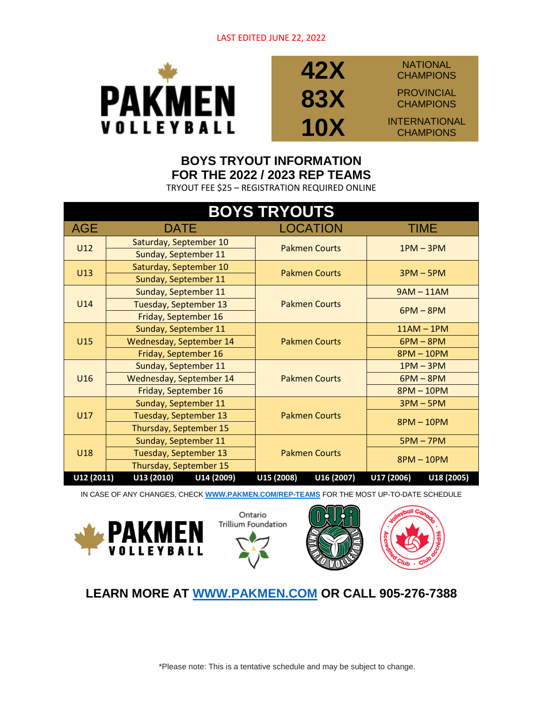

## **42X 83X**

**NATIONAL CHAMPIONS** PROVINCIAL

**CHAMPIONS** 

**10X** INTERNATIONAL **CHAMPIONS** 

## **BOYS TRYOUT INFORMATION FOR THE 2022 / 2023 REP TEAMS**

TRYOUT FEE \$25 – REGISTRATION REQUIRED ONLINE

| <b>BOYS TRYOUTS</b> |                          |                          |                          |  |
|---------------------|--------------------------|--------------------------|--------------------------|--|
| <b>AGE</b>          | <b>DATE</b>              | LOCATION                 | TIME                     |  |
| U12                 | Saturday, September 10   | <b>Pakmen Courts</b>     | $1PM - 3PM$              |  |
|                     | Sunday, September 11     |                          |                          |  |
| U13                 | Saturday, September 10   | <b>Pakmen Courts</b>     | $3PM - 5PM$              |  |
|                     | Sunday, September 11     |                          |                          |  |
|                     | Sunday, September 11     | <b>Pakmen Courts</b>     | $9AM - 11AM$             |  |
| U <sub>14</sub>     | Tuesday, September 13    |                          | $6PM - 8PM$              |  |
|                     | Friday, September 16     |                          |                          |  |
|                     | Sunday, September 11     | <b>Pakmen Courts</b>     | $11AM - 1PM$             |  |
| U15                 | Wednesday, September 14  |                          | $6PM - 8PM$              |  |
|                     | Friday, September 16     |                          | 8PM - 10PM               |  |
|                     | Sunday, September 11     | <b>Pakmen Courts</b>     | $1PM - 3PM$              |  |
| U16                 | Wednesday, September 14  |                          | $6PM - 8PM$              |  |
|                     | Friday, September 16     |                          | $8PM - 10PM$             |  |
|                     | Sunday, September 11     | <b>Pakmen Courts</b>     | $3PM - 5PM$              |  |
| U17                 | Tuesday, September 13    |                          | $8PM - 10PM$             |  |
|                     | Thursday, September 15   |                          |                          |  |
|                     | Sunday, September 11     | <b>Pakmen Courts</b>     | $5PM - 7PM$              |  |
| U18                 | Tuesday, September 13    |                          | $8PM - 10PM$             |  |
|                     | Thursday, September 15   |                          |                          |  |
| U12 (2011)          | U13 (2010)<br>U14 (2009) | U15 (2008)<br>U16 (2007) | U17 (2006)<br>U18 (2005) |  |

IN CASE OF ANY CHANGES, CHECK **[WWW.PAKMEN.COM/REP-TEAMS](http://www.pakmen.com/REP-TEAMS)** FOR THE MOST UP-TO-DATE SCHEDULE









**LEARN MORE AT [WWW.PAKMEN.COM](http://www.pakmen.com/) OR CALL 905-276-7388**

\*Please note: This is a tentative schedule and may be subject to change.